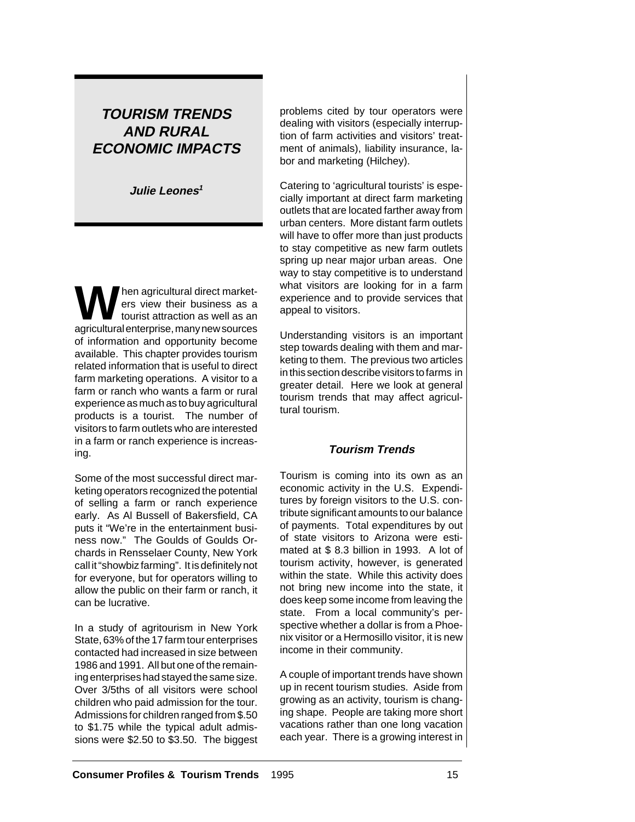# **TOURISM TRENDS AND RURAL ECONOMIC IMPACTS**

**Julie Leones<sup>1</sup>**

hen agricultural direct marketers view their business as a tourist attraction as well as an agricultural enterprise, many new sources of information and opportunity become available. This chapter provides tourism related information that is useful to direct farm marketing operations. A visitor to a farm or ranch who wants a farm or rural experience as much as to buy agricultural products is a tourist. The number of visitors to farm outlets who are interested in a farm or ranch experience is increasing.

Some of the most successful direct marketing operators recognized the potential of selling a farm or ranch experience early. As Al Bussell of Bakersfield, CA puts it "We're in the entertainment business now." The Goulds of Goulds Orchards in Rensselaer County, New York call it "showbiz farming". It is definitely not for everyone, but for operators willing to allow the public on their farm or ranch, it can be lucrative.

In a study of agritourism in New York State, 63% of the 17 farm tour enterprises contacted had increased in size between 1986 and 1991. All but one of the remaining enterprises had stayed the same size. Over 3/5ths of all visitors were school children who paid admission for the tour. Admissions for children ranged from \$.50 to \$1.75 while the typical adult admissions were \$2.50 to \$3.50. The biggest problems cited by tour operators were dealing with visitors (especially interruption of farm activities and visitors' treatment of animals), liability insurance, labor and marketing (Hilchey).

Catering to 'agricultural tourists' is especially important at direct farm marketing outlets that are located farther away from urban centers. More distant farm outlets will have to offer more than just products to stay competitive as new farm outlets spring up near major urban areas. One way to stay competitive is to understand what visitors are looking for in a farm experience and to provide services that appeal to visitors.

Understanding visitors is an important step towards dealing with them and marketing to them. The previous two articles in this section describe visitors to farms in greater detail. Here we look at general tourism trends that may affect agricultural tourism.

### **Tourism Trends**

Tourism is coming into its own as an economic activity in the U.S. Expenditures by foreign visitors to the U.S. contribute significant amounts to our balance of payments. Total expenditures by out of state visitors to Arizona were estimated at \$ 8.3 billion in 1993. A lot of tourism activity, however, is generated within the state. While this activity does not bring new income into the state, it does keep some income from leaving the state. From a local community's perspective whether a dollar is from a Phoenix visitor or a Hermosillo visitor, it is new income in their community.

A couple of important trends have shown up in recent tourism studies. Aside from growing as an activity, tourism is changing shape. People are taking more short vacations rather than one long vacation each year. There is a growing interest in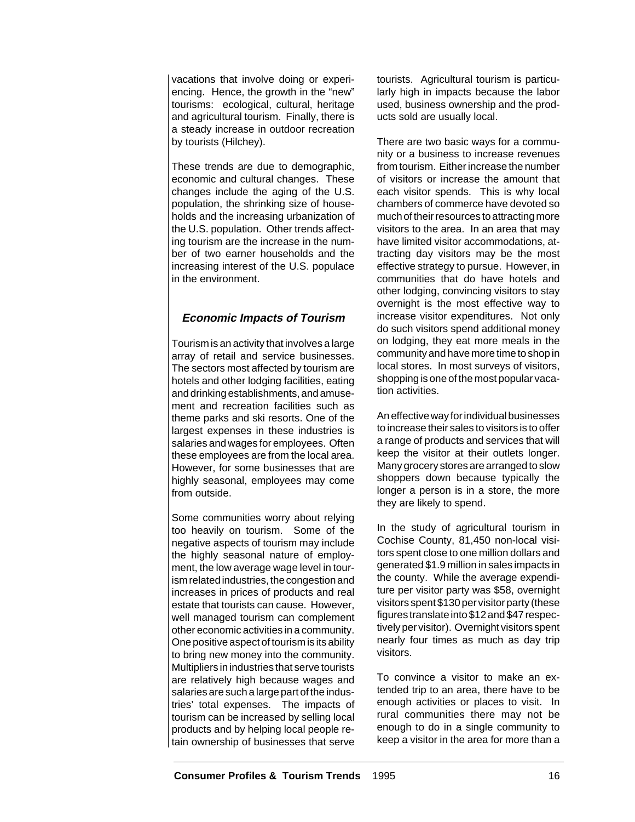vacations that involve doing or experiencing. Hence, the growth in the "new" tourisms: ecological, cultural, heritage and agricultural tourism. Finally, there is a steady increase in outdoor recreation by tourists (Hilchey).

These trends are due to demographic, economic and cultural changes. These changes include the aging of the U.S. population, the shrinking size of households and the increasing urbanization of the U.S. population. Other trends affecting tourism are the increase in the number of two earner households and the increasing interest of the U.S. populace in the environment.

## **Economic Impacts of Tourism**

Tourism is an activity that involves a large array of retail and service businesses. The sectors most affected by tourism are hotels and other lodging facilities, eating and drinking establishments, and amusement and recreation facilities such as theme parks and ski resorts. One of the largest expenses in these industries is salaries and wages for employees. Often these employees are from the local area. However, for some businesses that are highly seasonal, employees may come from outside.

Some communities worry about relying too heavily on tourism. Some of the negative aspects of tourism may include the highly seasonal nature of employment, the low average wage level in tourism related industries, the congestion and increases in prices of products and real estate that tourists can cause. However, well managed tourism can complement other economic activities in a community. One positive aspect of tourism is its ability to bring new money into the community. Multipliers in industries that serve tourists are relatively high because wages and salaries are such a large part of the industries' total expenses. The impacts of tourism can be increased by selling local products and by helping local people retain ownership of businesses that serve

tourists. Agricultural tourism is particularly high in impacts because the labor used, business ownership and the products sold are usually local.

There are two basic ways for a community or a business to increase revenues from tourism. Either increase the number of visitors or increase the amount that each visitor spends. This is why local chambers of commerce have devoted so much of their resources to attracting more visitors to the area. In an area that may have limited visitor accommodations, attracting day visitors may be the most effective strategy to pursue. However, in communities that do have hotels and other lodging, convincing visitors to stay overnight is the most effective way to increase visitor expenditures. Not only do such visitors spend additional money on lodging, they eat more meals in the community and have more time to shop in local stores. In most surveys of visitors, shopping is one of the most popular vacation activities.

An effective way for individual businesses to increase their sales to visitors is to offer a range of products and services that will keep the visitor at their outlets longer. Many grocery stores are arranged to slow shoppers down because typically the longer a person is in a store, the more they are likely to spend.

In the study of agricultural tourism in Cochise County, 81,450 non-local visitors spent close to one million dollars and generated \$1.9 million in sales impacts in the county. While the average expenditure per visitor party was \$58, overnight visitors spent \$130 per visitor party (these figures translate into \$12 and \$47 respectively per visitor). Overnight visitors spent nearly four times as much as day trip visitors.

To convince a visitor to make an extended trip to an area, there have to be enough activities or places to visit. In rural communities there may not be enough to do in a single community to keep a visitor in the area for more than a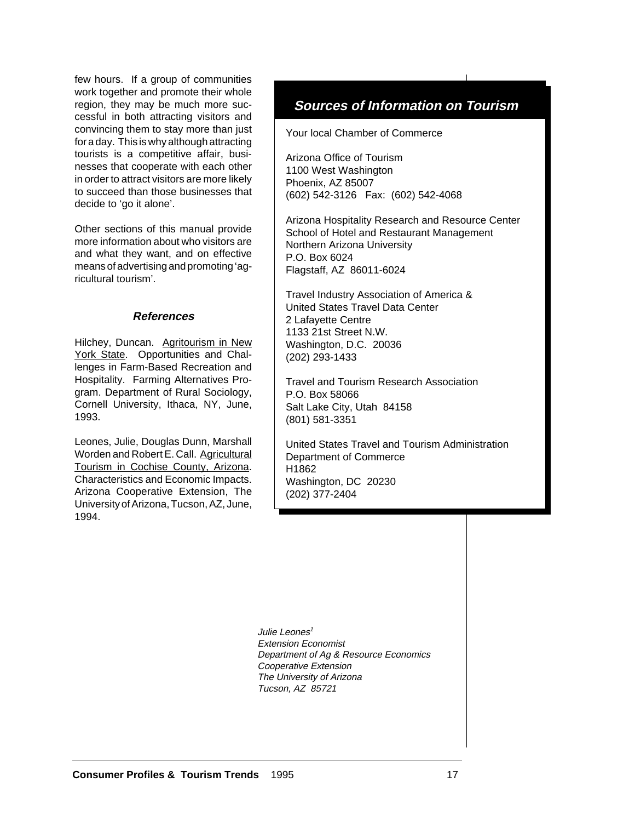few hours. If a group of communities work together and promote their whole region, they may be much more successful in both attracting visitors and convincing them to stay more than just for a day. This is why although attracting tourists is a competitive affair, businesses that cooperate with each other in order to attract visitors are more likely to succeed than those businesses that decide to 'go it alone'.

Other sections of this manual provide more information about who visitors are and what they want, and on effective means of advertising and promoting 'agricultural tourism'.

### **References**

Hilchey, Duncan. Agritourism in New York State. Opportunities and Challenges in Farm-Based Recreation and Hospitality. Farming Alternatives Program. Department of Rural Sociology, Cornell University, Ithaca, NY, June, 1993.

Leones, Julie, Douglas Dunn, Marshall Worden and Robert E. Call. Agricultural Tourism in Cochise County, Arizona. Characteristics and Economic Impacts. Arizona Cooperative Extension, The University of Arizona, Tucson, AZ, June, 1994.

## **Sources of Information on Tourism**

Your local Chamber of Commerce

Arizona Office of Tourism 1100 West Washington Phoenix, AZ 85007 (602) 542-3126 Fax: (602) 542-4068

Arizona Hospitality Research and Resource Center School of Hotel and Restaurant Management Northern Arizona University P.O. Box 6024 Flagstaff, AZ 86011-6024

Travel Industry Association of America & United States Travel Data Center 2 Lafayette Centre 1133 21st Street N.W. Washington, D.C. 20036 (202) 293-1433

Travel and Tourism Research Association P.O. Box 58066 Salt Lake City, Utah 84158 (801) 581-3351

United States Travel and Tourism Administration Department of Commerce H1862 Washington, DC 20230 (202) 377-2404

Julie Leones<sup>1</sup> Extension Economist Department of Ag & Resource Economics Cooperative Extension The University of Arizona Tucson, AZ 85721